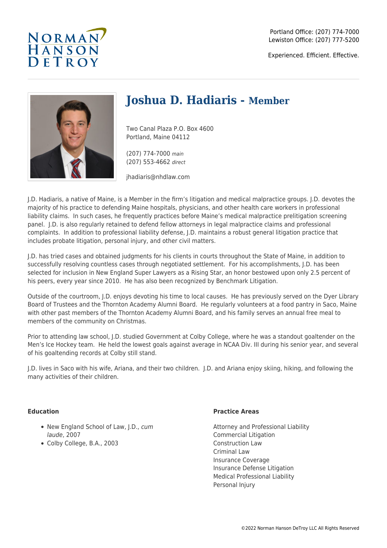

Experienced. Efficient. Effective.



# **Joshua D. Hadiaris - Member**

Two Canal Plaza P.O. Box 4600 Portland, Maine 04112

(207) 774-7000 main (207) 553-4662 direct

jhadiaris@nhdlaw.com

J.D. Hadiaris, a native of Maine, is a Member in the firm's litigation and medical malpractice groups. J.D. devotes the majority of his practice to defending Maine hospitals, physicians, and other health care workers in professional liability claims. In such cases, he frequently practices before Maine's medical malpractice prelitigation screening panel. J.D. is also regularly retained to defend fellow attorneys in legal malpractice claims and professional complaints. In addition to professional liability defense, J.D. maintains a robust general litigation practice that includes probate litigation, personal injury, and other civil matters.

J.D. has tried cases and obtained judgments for his clients in courts throughout the State of Maine, in addition to successfully resolving countless cases through negotiated settlement. For his accomplishments, J.D. has been selected for inclusion in New England Super Lawyers as a Rising Star, an honor bestowed upon only 2.5 percent of his peers, every year since 2010. He has also been recognized by Benchmark Litigation.

Outside of the courtroom, J.D. enjoys devoting his time to local causes. He has previously served on the Dyer Library Board of Trustees and the Thornton Academy Alumni Board. He regularly volunteers at a food pantry in Saco, Maine with other past members of the Thornton Academy Alumni Board, and his family serves an annual free meal to members of the community on Christmas.

Prior to attending law school, J.D. studied Government at Colby College, where he was a standout goaltender on the Men's Ice Hockey team. He held the lowest goals against average in NCAA Div. III during his senior year, and several of his goaltending records at Colby still stand.

J.D. lives in Saco with his wife, Ariana, and their two children. J.D. and Ariana enjoy skiing, hiking, and following the many activities of their children.

### **Education**

- New England School of Law, J.D., cum laude, 2007
- Colby College, B.A., 2003

#### **Practice Areas**

Attorney and Professional Liability Commercial Litigation Construction Law Criminal Law Insurance Coverage Insurance Defense Litigation Medical Professional Liability Personal Injury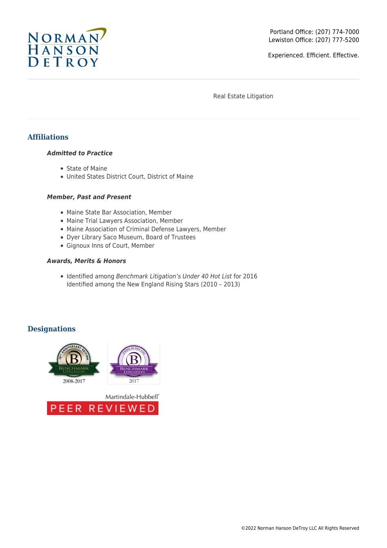

Experienced. Efficient. Effective.

Real Estate Litigation

# **Affiliations**

#### *Admitted to Practice*

- State of Maine
- United States District Court, District of Maine

#### *Member, Past and Present*

- Maine State Bar Association, Member
- Maine Trial Lawyers Association, Member
- Maine Association of Criminal Defense Lawyers, Member
- Dyer Library Saco Museum, Board of Trustees
- Gignoux Inns of Court, Member

#### *Awards, Merits & Honors*

• Identified among Benchmark Litigation's Under 40 Hot List for 2016 Identified among the New England Rising Stars (2010 – 2013)

## **Designations**